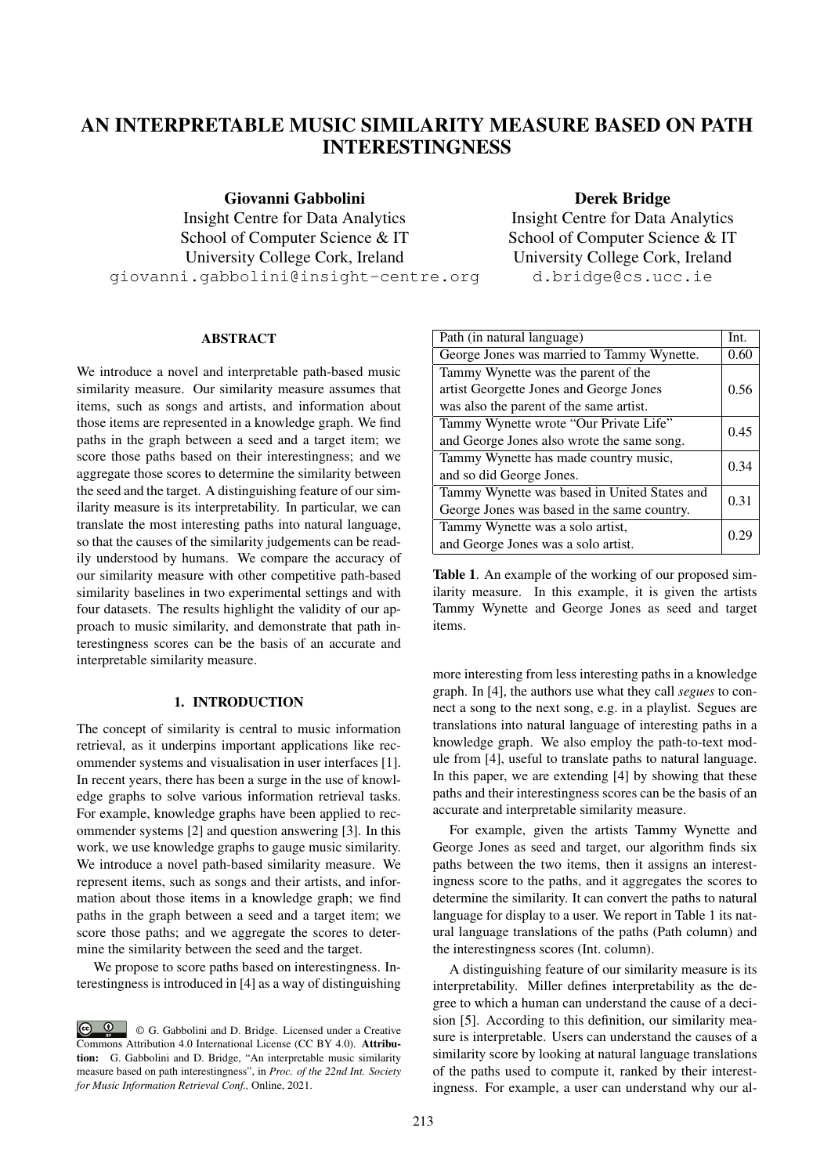# AN INTERPRETABLE MUSIC SIMILARITY MEASURE BASED ON PATH INTERESTINGNESS

Giovanni Gabbolini

Insight Centre for Data Analytics School of Computer Science & IT University College Cork, Ireland giovanni.gabbolini@insight-centre.org

### Derek Bridge

Insight Centre for Data Analytics School of Computer Science & IT University College Cork, Ireland d.bridge@cs.ucc.ie

## ABSTRACT

We introduce a novel and interpretable path-based music similarity measure. Our similarity measure assumes that items, such as songs and artists, and information about those items are represented in a knowledge graph. We find paths in the graph between a seed and a target item; we score those paths based on their interestingness; and we aggregate those scores to determine the similarity between the seed and the target. A distinguishing feature of our similarity measure is its interpretability. In particular, we can translate the most interesting paths into natural language, so that the causes of the similarity judgements can be readily understood by humans. We compare the accuracy of our similarity measure with other competitive path-based similarity baselines in two experimental settings and with four datasets. The results highlight the validity of our approach to music similarity, and demonstrate that path interestingness scores can be the basis of an accurate and interpretable similarity measure.

### 1. INTRODUCTION

The concept of similarity is central to music information retrieval, as it underpins important applications like recommender systems and visualisation in user interfaces [1]. In recent years, there has been a surge in the use of knowledge graphs to solve various information retrieval tasks. For example, knowledge graphs have been applied to recommender systems [2] and question answering [3]. In this work, we use knowledge graphs to gauge music similarity. We introduce a novel path-based similarity measure. We represent items, such as songs and their artists, and information about those items in a knowledge graph; we find paths in the graph between a seed and a target item; we score those paths; and we aggregate the scores to determine the similarity between the seed and the target.

We propose to score paths based on interestingness. Interestingness is introduced in [4] as a way of distinguishing

| Path (in natural language)                   | Int. |
|----------------------------------------------|------|
| George Jones was married to Tammy Wynette.   | 0.60 |
| Tammy Wynette was the parent of the          |      |
| artist Georgette Jones and George Jones      | 0.56 |
| was also the parent of the same artist.      |      |
| Tammy Wynette wrote "Our Private Life"       | 0.45 |
| and George Jones also wrote the same song.   |      |
| Tammy Wynette has made country music,        | 0.34 |
| and so did George Jones.                     |      |
| Tammy Wynette was based in United States and | 0.31 |
| George Jones was based in the same country.  |      |
| Tammy Wynette was a solo artist,             |      |
| and George Jones was a solo artist.          |      |

Table 1. An example of the working of our proposed similarity measure. In this example, it is given the artists Tammy Wynette and George Jones as seed and target items.

more interesting from less interesting paths in a knowledge graph. In [4], the authors use what they call *segues* to connect a song to the next song, e.g. in a playlist. Segues are translations into natural language of interesting paths in a knowledge graph. We also employ the path-to-text module from [4], useful to translate paths to natural language. In this paper, we are extending [4] by showing that these paths and their interestingness scores can be the basis of an accurate and interpretable similarity measure.

For example, given the artists Tammy Wynette and George Jones as seed and target, our algorithm finds six paths between the two items, then it assigns an interestingness score to the paths, and it aggregates the scores to determine the similarity. It can convert the paths to natural language for display to a user. We report in Table 1 its natural language translations of the paths (Path column) and the interestingness scores (Int. column).

A distinguishing feature of our similarity measure is its interpretability. Miller defines interpretability as the degree to which a human can understand the cause of a decision [5]. According to this definition, our similarity measure is interpretable. Users can understand the causes of a similarity score by looking at natural language translations of the paths used to compute it, ranked by their interestingness. For example, a user can understand why our al-

<sup>©</sup> G. Gabbolini and D. Bridge. Licensed under a Creative Commons Attribution 4.0 International License (CC BY 4.0). Attribution: G. Gabbolini and D. Bridge, "An interpretable music similarity measure based on path interestingness", in *Proc. of the 22nd Int. Society for Music Information Retrieval Conf.,* Online, 2021.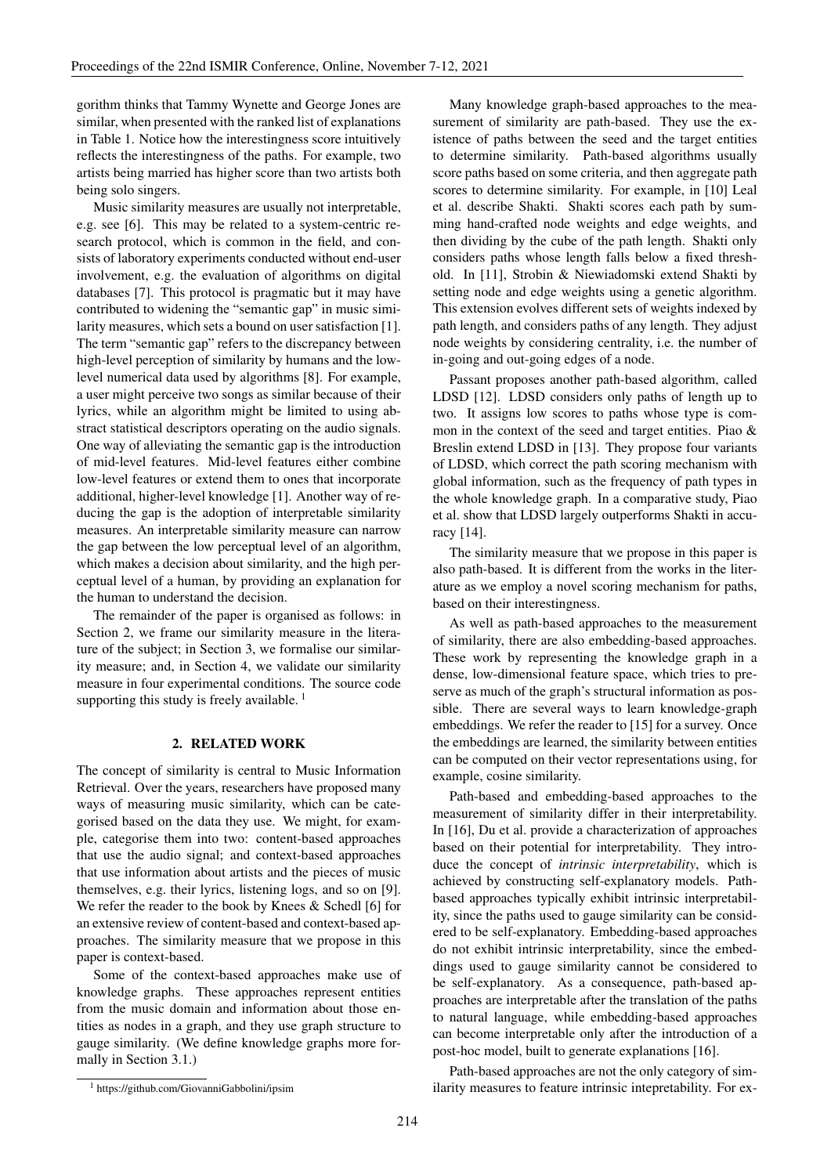gorithm thinks that Tammy Wynette and George Jones are similar, when presented with the ranked list of explanations in Table 1. Notice how the interestingness score intuitively reflects the interestingness of the paths. For example, two artists being married has higher score than two artists both being solo singers.

Music similarity measures are usually not interpretable, e.g. see [6]. This may be related to a system-centric research protocol, which is common in the field, and consists of laboratory experiments conducted without end-user involvement, e.g. the evaluation of algorithms on digital databases [7]. This protocol is pragmatic but it may have contributed to widening the "semantic gap" in music similarity measures, which sets a bound on user satisfaction [1]. The term "semantic gap" refers to the discrepancy between high-level perception of similarity by humans and the lowlevel numerical data used by algorithms [8]. For example, a user might perceive two songs as similar because of their lyrics, while an algorithm might be limited to using abstract statistical descriptors operating on the audio signals. One way of alleviating the semantic gap is the introduction of mid-level features. Mid-level features either combine low-level features or extend them to ones that incorporate additional, higher-level knowledge [1]. Another way of reducing the gap is the adoption of interpretable similarity measures. An interpretable similarity measure can narrow the gap between the low perceptual level of an algorithm, which makes a decision about similarity, and the high perceptual level of a human, by providing an explanation for the human to understand the decision.

The remainder of the paper is organised as follows: in Section 2, we frame our similarity measure in the literature of the subject; in Section 3, we formalise our similarity measure; and, in Section 4, we validate our similarity measure in four experimental conditions. The source code supporting this study is freely available.  $<sup>1</sup>$ </sup>

### 2. RELATED WORK

The concept of similarity is central to Music Information Retrieval. Over the years, researchers have proposed many ways of measuring music similarity, which can be categorised based on the data they use. We might, for example, categorise them into two: content-based approaches that use the audio signal; and context-based approaches that use information about artists and the pieces of music themselves, e.g. their lyrics, listening logs, and so on [9]. We refer the reader to the book by Knees & Schedl [6] for an extensive review of content-based and context-based approaches. The similarity measure that we propose in this paper is context-based.

Some of the context-based approaches make use of knowledge graphs. These approaches represent entities from the music domain and information about those entities as nodes in a graph, and they use graph structure to gauge similarity. (We define knowledge graphs more formally in Section 3.1.)

Many knowledge graph-based approaches to the measurement of similarity are path-based. They use the existence of paths between the seed and the target entities to determine similarity. Path-based algorithms usually score paths based on some criteria, and then aggregate path scores to determine similarity. For example, in [10] Leal et al. describe Shakti. Shakti scores each path by summing hand-crafted node weights and edge weights, and then dividing by the cube of the path length. Shakti only considers paths whose length falls below a fixed threshold. In [11], Strobin & Niewiadomski extend Shakti by setting node and edge weights using a genetic algorithm. This extension evolves different sets of weights indexed by path length, and considers paths of any length. They adjust node weights by considering centrality, i.e. the number of in-going and out-going edges of a node.

Passant proposes another path-based algorithm, called LDSD [12]. LDSD considers only paths of length up to two. It assigns low scores to paths whose type is common in the context of the seed and target entities. Piao & Breslin extend LDSD in [13]. They propose four variants of LDSD, which correct the path scoring mechanism with global information, such as the frequency of path types in the whole knowledge graph. In a comparative study, Piao et al. show that LDSD largely outperforms Shakti in accuracy [14].

The similarity measure that we propose in this paper is also path-based. It is different from the works in the literature as we employ a novel scoring mechanism for paths, based on their interestingness.

As well as path-based approaches to the measurement of similarity, there are also embedding-based approaches. These work by representing the knowledge graph in a dense, low-dimensional feature space, which tries to preserve as much of the graph's structural information as possible. There are several ways to learn knowledge-graph embeddings. We refer the reader to [15] for a survey. Once the embeddings are learned, the similarity between entities can be computed on their vector representations using, for example, cosine similarity.

Path-based and embedding-based approaches to the measurement of similarity differ in their interpretability. In [16], Du et al. provide a characterization of approaches based on their potential for interpretability. They introduce the concept of *intrinsic interpretability*, which is achieved by constructing self-explanatory models. Pathbased approaches typically exhibit intrinsic interpretability, since the paths used to gauge similarity can be considered to be self-explanatory. Embedding-based approaches do not exhibit intrinsic interpretability, since the embeddings used to gauge similarity cannot be considered to be self-explanatory. As a consequence, path-based approaches are interpretable after the translation of the paths to natural language, while embedding-based approaches can become interpretable only after the introduction of a post-hoc model, built to generate explanations [16].

Path-based approaches are not the only category of similarity measures to feature intrinsic intepretability. For ex-

<sup>1</sup> https://github.com/GiovanniGabbolini/ipsim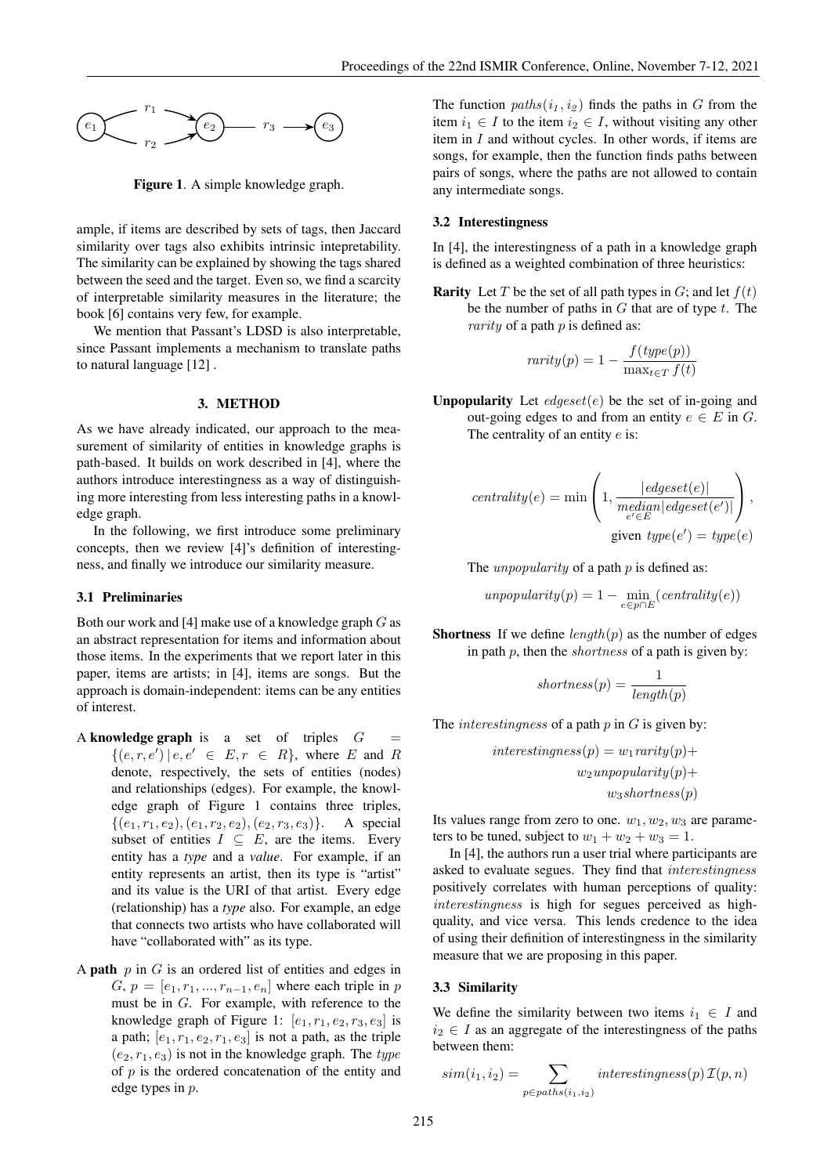

Figure 1. A simple knowledge graph.

ample, if items are described by sets of tags, then Jaccard similarity over tags also exhibits intrinsic intepretability. The similarity can be explained by showing the tags shared between the seed and the target. Even so, we find a scarcity of interpretable similarity measures in the literature; the book [6] contains very few, for example.

We mention that Passant's LDSD is also interpretable, since Passant implements a mechanism to translate paths to natural language [12] .

### 3. METHOD

As we have already indicated, our approach to the measurement of similarity of entities in knowledge graphs is path-based. It builds on work described in [4], where the authors introduce interestingness as a way of distinguishing more interesting from less interesting paths in a knowledge graph.

In the following, we first introduce some preliminary concepts, then we review [4]'s definition of interestingness, and finally we introduce our similarity measure.

#### 3.1 Preliminaries

Both our work and [4] make use of a knowledge graph G as an abstract representation for items and information about those items. In the experiments that we report later in this paper, items are artists; in [4], items are songs. But the approach is domain-independent: items can be any entities of interest.

- A knowledge graph is a set of triples  $G =$  $\{(e, r, e') | e, e' \in E, r \in R\}$ , where E and R denote, respectively, the sets of entities (nodes) and relationships (edges). For example, the knowledge graph of Figure 1 contains three triples,  $\{(e_1, r_1, e_2), (e_1, r_2, e_2), (e_2, r_3, e_3)\}.$  A special subset of entities  $I \subseteq E$ , are the items. Every entity has a *type* and a *value*. For example, if an entity represents an artist, then its type is "artist" and its value is the URI of that artist. Every edge (relationship) has a *type* also. For example, an edge that connects two artists who have collaborated will have "collaborated with" as its type.
- A **path**  $p$  in  $G$  is an ordered list of entities and edges in  $G, p = [e_1, r_1, ..., r_{n-1}, e_n]$  where each triple in p must be in G. For example, with reference to the knowledge graph of Figure 1:  $[e_1, r_1, e_2, r_3, e_3]$  is a path;  $[e_1, r_1, e_2, r_1, e_3]$  is not a path, as the triple  $(e_2, r_1, e_3)$  is not in the knowledge graph. The type of  $p$  is the ordered concatenation of the entity and edge types in p.

The function  $paths(i_1, i_2)$  finds the paths in G from the item  $i_1 \in I$  to the item  $i_2 \in I$ , without visiting any other item in  $I$  and without cycles. In other words, if items are songs, for example, then the function finds paths between pairs of songs, where the paths are not allowed to contain any intermediate songs.

### 3.2 Interestingness

In [4], the interestingness of a path in a knowledge graph is defined as a weighted combination of three heuristics:

**Rarity** Let T be the set of all path types in  $G$ ; and let  $f(t)$ be the number of paths in  $G$  that are of type  $t$ . The *rarity* of a path  $p$  is defined as:

$$
rarity(p) = 1 - \frac{f(type(p))}{\max_{t \in T} f(t)}
$$

**Unpopularity** Let  $\text{edgeset}(e)$  be the set of in-going and out-going edges to and from an entity  $e \in E$  in G. The centrality of an entity  $e$  is:

$$
centrality(e) = \min\left(1, \frac{|edgeset(e)|}{\substack{median|edgeset(e')|}{\substack{e' \in E}}}\right),\
$$
  
given type $(e') = type(e)$ 

The *unpopularity* of a path  $p$  is defined as:

unpopularity
$$
(p) = 1 - \min_{e \in p \cap E} (centrality(e))
$$

**Shortness** If we define  $length(p)$  as the number of edges in path  $p$ , then the *shortness* of a path is given by:

$$
shortness(p) = \frac{1}{length(p)}
$$

The *interestingness* of a path  $p$  in  $G$  is given by:

$$
interestingness(p) = w_1rarity(p) + w_2unpopularity(p) + w_3shortness(p)
$$

Its values range from zero to one.  $w_1, w_2, w_3$  are parameters to be tuned, subject to  $w_1 + w_2 + w_3 = 1$ .

In [4], the authors run a user trial where participants are asked to evaluate segues. They find that interestingness positively correlates with human perceptions of quality: interestingness is high for segues perceived as highquality, and vice versa. This lends credence to the idea of using their definition of interestingness in the similarity measure that we are proposing in this paper.

### 3.3 Similarity

We define the similarity between two items  $i_1 \in I$  and  $i_2 \in I$  as an aggregate of the interestingness of the paths between them:

$$
sim(i_1, i_2) = \sum_{p \in paths(i_1, i_2)} interestingness(p) \mathcal{I}(p, n)
$$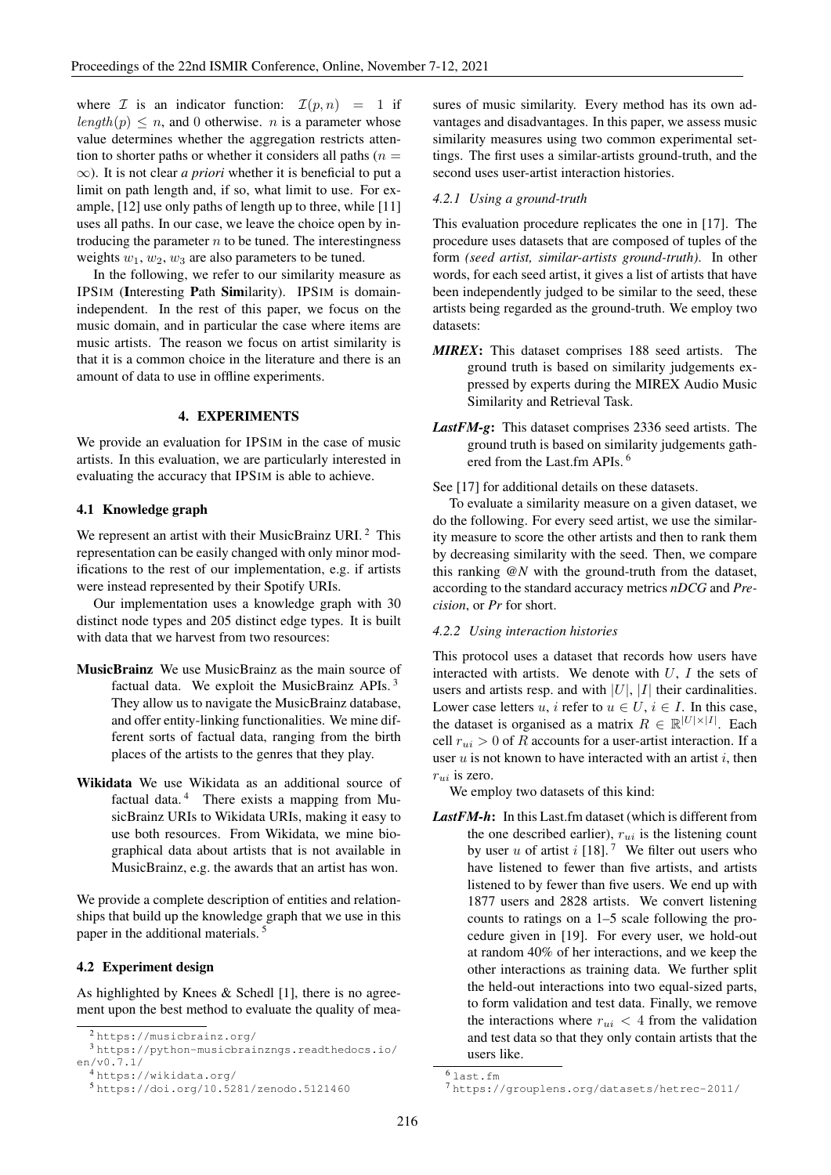where  $\mathcal I$  is an indicator function:  $\mathcal I(p,n) = 1$  if  $length(p) \leq n$ , and 0 otherwise. *n* is a parameter whose value determines whether the aggregation restricts attention to shorter paths or whether it considers all paths  $(n =$ ∞). It is not clear *a priori* whether it is beneficial to put a limit on path length and, if so, what limit to use. For example, [12] use only paths of length up to three, while [11] uses all paths. In our case, we leave the choice open by introducing the parameter  $n$  to be tuned. The interestingness weights  $w_1, w_2, w_3$  are also parameters to be tuned.

In the following, we refer to our similarity measure as IPSIM (Interesting Path Similarity). IPSIM is domainindependent. In the rest of this paper, we focus on the music domain, and in particular the case where items are music artists. The reason we focus on artist similarity is that it is a common choice in the literature and there is an amount of data to use in offline experiments.

### 4. EXPERIMENTS

We provide an evaluation for IPSIM in the case of music artists. In this evaluation, we are particularly interested in evaluating the accuracy that IPSIM is able to achieve.

### 4.1 Knowledge graph

We represent an artist with their MusicBrainz URI.<sup>2</sup> This representation can be easily changed with only minor modifications to the rest of our implementation, e.g. if artists were instead represented by their Spotify URIs.

Our implementation uses a knowledge graph with 30 distinct node types and 205 distinct edge types. It is built with data that we harvest from two resources:

- MusicBrainz We use MusicBrainz as the main source of factual data. We exploit the MusicBrainz APIs. <sup>3</sup> They allow us to navigate the MusicBrainz database, and offer entity-linking functionalities. We mine different sorts of factual data, ranging from the birth places of the artists to the genres that they play.
- Wikidata We use Wikidata as an additional source of factual data.<sup>4</sup> There exists a mapping from MusicBrainz URIs to Wikidata URIs, making it easy to use both resources. From Wikidata, we mine biographical data about artists that is not available in MusicBrainz, e.g. the awards that an artist has won.

We provide a complete description of entities and relationships that build up the knowledge graph that we use in this paper in the additional materials. <sup>5</sup>

### 4.2 Experiment design

As highlighted by Knees & Schedl [1], there is no agreement upon the best method to evaluate the quality of mea-

<sup>3</sup> https://python-musicbrainzngs.readthedocs.io/ en/v0.7.1/

```
4 https://wikidata.org/
```

```
5 https://doi.org/10.5281/zenodo.5121460
```
sures of music similarity. Every method has its own advantages and disadvantages. In this paper, we assess music similarity measures using two common experimental settings. The first uses a similar-artists ground-truth, and the second uses user-artist interaction histories.

#### *4.2.1 Using a ground-truth*

This evaluation procedure replicates the one in [17]. The procedure uses datasets that are composed of tuples of the form *(seed artist, similar-artists ground-truth)*. In other words, for each seed artist, it gives a list of artists that have been independently judged to be similar to the seed, these artists being regarded as the ground-truth. We employ two datasets:

- *MIREX*: This dataset comprises 188 seed artists. The ground truth is based on similarity judgements expressed by experts during the MIREX Audio Music Similarity and Retrieval Task.
- *LastFM-g*: This dataset comprises 2336 seed artists. The ground truth is based on similarity judgements gathered from the Last.fm APIs. <sup>6</sup>

See [17] for additional details on these datasets.

To evaluate a similarity measure on a given dataset, we do the following. For every seed artist, we use the similarity measure to score the other artists and then to rank them by decreasing similarity with the seed. Then, we compare this ranking *@N* with the ground-truth from the dataset, according to the standard accuracy metrics *nDCG* and *Precision*, or *Pr* for short.

### *4.2.2 Using interaction histories*

This protocol uses a dataset that records how users have interacted with artists. We denote with  $U$ ,  $I$  the sets of users and artists resp. and with  $|U|$ ,  $|I|$  their cardinalities. Lower case letters u, i refer to  $u \in U$ ,  $i \in I$ . In this case, the dataset is organised as a matrix  $R \in \mathbb{R}^{|U| \times |I|}$ . Each cell  $r_{ui} > 0$  of R accounts for a user-artist interaction. If a user  $u$  is not known to have interacted with an artist  $i$ , then  $r_{ui}$  is zero.

We employ two datasets of this kind:

*LastFM-h*: In this Last.fm dataset (which is different from the one described earlier),  $r_{ui}$  is the listening count by user u of artist i [18].<sup>7</sup> We filter out users who have listened to fewer than five artists, and artists listened to by fewer than five users. We end up with 1877 users and 2828 artists. We convert listening counts to ratings on a 1–5 scale following the procedure given in [19]. For every user, we hold-out at random 40% of her interactions, and we keep the other interactions as training data. We further split the held-out interactions into two equal-sized parts, to form validation and test data. Finally, we remove the interactions where  $r_{ui}$  < 4 from the validation and test data so that they only contain artists that the users like.

<sup>2</sup> https://musicbrainz.org/

 $6$  last.fm

<sup>7</sup> https://grouplens.org/datasets/hetrec-2011/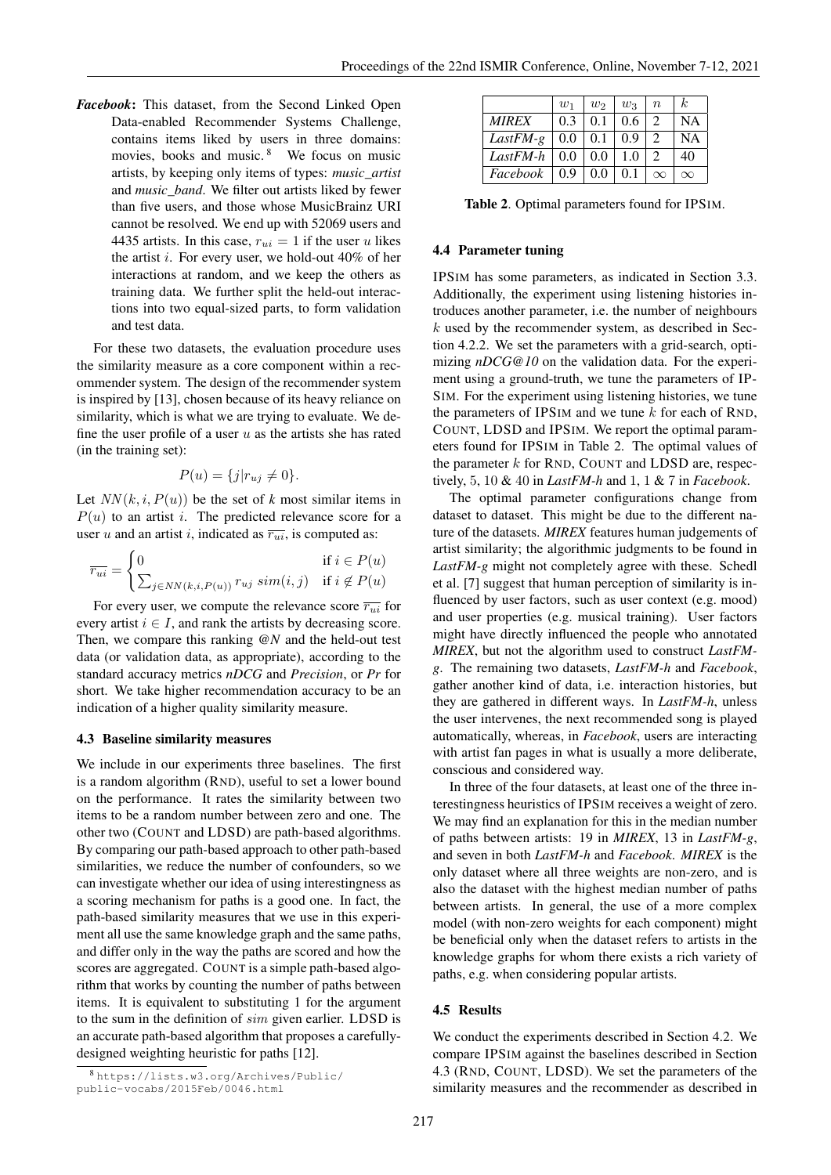*Facebook*: This dataset, from the Second Linked Open Data-enabled Recommender Systems Challenge, contains items liked by users in three domains: movies, books and music.  $8$  We focus on music artists, by keeping only items of types: *music\_artist* and *music\_band*. We filter out artists liked by fewer than five users, and those whose MusicBrainz URI cannot be resolved. We end up with 52069 users and 4435 artists. In this case,  $r_{ui} = 1$  if the user u likes the artist  $i$ . For every user, we hold-out 40% of her interactions at random, and we keep the others as training data. We further split the held-out interactions into two equal-sized parts, to form validation and test data.

For these two datasets, the evaluation procedure uses the similarity measure as a core component within a recommender system. The design of the recommender system is inspired by [13], chosen because of its heavy reliance on similarity, which is what we are trying to evaluate. We define the user profile of a user  $u$  as the artists she has rated (in the training set):

$$
P(u) = \{j|r_{uj} \neq 0\}.
$$

Let  $NN(k, i, P(u))$  be the set of *k* most similar items in  $P(u)$  to an artist i. The predicted relevance score for a user u and an artist i, indicated as  $\overline{r_{ui}}$ , is computed as:

$$
\overline{r_{ui}} = \begin{cases} 0 & \text{if } i \in P(u) \\ \sum_{j \in NN(k, i, P(u))} r_{uj} \, sim(i, j) & \text{if } i \notin P(u) \end{cases}
$$

For every user, we compute the relevance score  $\overline{r_{ui}}$  for every artist  $i \in I$ , and rank the artists by decreasing score. Then, we compare this ranking *@N* and the held-out test data (or validation data, as appropriate), according to the standard accuracy metrics *nDCG* and *Precision*, or *Pr* for short. We take higher recommendation accuracy to be an indication of a higher quality similarity measure.

### 4.3 Baseline similarity measures

We include in our experiments three baselines. The first is a random algorithm (RND), useful to set a lower bound on the performance. It rates the similarity between two items to be a random number between zero and one. The other two (COUNT and LDSD) are path-based algorithms. By comparing our path-based approach to other path-based similarities, we reduce the number of confounders, so we can investigate whether our idea of using interestingness as a scoring mechanism for paths is a good one. In fact, the path-based similarity measures that we use in this experiment all use the same knowledge graph and the same paths, and differ only in the way the paths are scored and how the scores are aggregated. COUNT is a simple path-based algorithm that works by counting the number of paths between items. It is equivalent to substituting 1 for the argument to the sum in the definition of sim given earlier. LDSD is an accurate path-based algorithm that proposes a carefullydesigned weighting heuristic for paths [12].

|              | $w_1$ | $w_2$ | $w_3$         | $\boldsymbol{n}$ | k.       |
|--------------|-------|-------|---------------|------------------|----------|
| <b>MIREX</b> | 0.3   | 0.1   | $0.6^{\circ}$ | $\mathcal{D}$    | NА       |
| $LastFM-g$   | 0.0   | 0.1   | 0.9           | 2                | NА       |
| LastFM-h     | 0.0   | 0.0   | 1.0           | 2                | 40       |
| Facebook     | 0.9   | 0.0   | 0.1           | $\infty$         | $\infty$ |

Table 2. Optimal parameters found for IPSIM.

### 4.4 Parameter tuning

IPSIM has some parameters, as indicated in Section 3.3. Additionally, the experiment using listening histories introduces another parameter, i.e. the number of neighbours  $k$  used by the recommender system, as described in Section 4.2.2. We set the parameters with a grid-search, optimizing *nDCG@10* on the validation data. For the experiment using a ground-truth, we tune the parameters of IP-SIM. For the experiment using listening histories, we tune the parameters of IPSIM and we tune  $k$  for each of RND, COUNT, LDSD and IPSIM. We report the optimal parameters found for IPSIM in Table 2. The optimal values of the parameter  $k$  for RND, COUNT and LDSD are, respectively, 5, 10 & 40 in *LastFM-h* and 1, 1 & 7 in *Facebook*.

The optimal parameter configurations change from dataset to dataset. This might be due to the different nature of the datasets. *MIREX* features human judgements of artist similarity; the algorithmic judgments to be found in *LastFM-g* might not completely agree with these. Schedl et al. [7] suggest that human perception of similarity is influenced by user factors, such as user context (e.g. mood) and user properties (e.g. musical training). User factors might have directly influenced the people who annotated *MIREX*, but not the algorithm used to construct *LastFMg*. The remaining two datasets, *LastFM-h* and *Facebook*, gather another kind of data, i.e. interaction histories, but they are gathered in different ways. In *LastFM-h*, unless the user intervenes, the next recommended song is played automatically, whereas, in *Facebook*, users are interacting with artist fan pages in what is usually a more deliberate, conscious and considered way.

In three of the four datasets, at least one of the three interestingness heuristics of IPSIM receives a weight of zero. We may find an explanation for this in the median number of paths between artists: 19 in *MIREX*, 13 in *LastFM-g*, and seven in both *LastFM-h* and *Facebook*. *MIREX* is the only dataset where all three weights are non-zero, and is also the dataset with the highest median number of paths between artists. In general, the use of a more complex model (with non-zero weights for each component) might be beneficial only when the dataset refers to artists in the knowledge graphs for whom there exists a rich variety of paths, e.g. when considering popular artists.

### 4.5 Results

We conduct the experiments described in Section 4.2. We compare IPSIM against the baselines described in Section 4.3 (RND, COUNT, LDSD). We set the parameters of the similarity measures and the recommender as described in

<sup>8</sup> https://lists.w3.org/Archives/Public/ public-vocabs/2015Feb/0046.html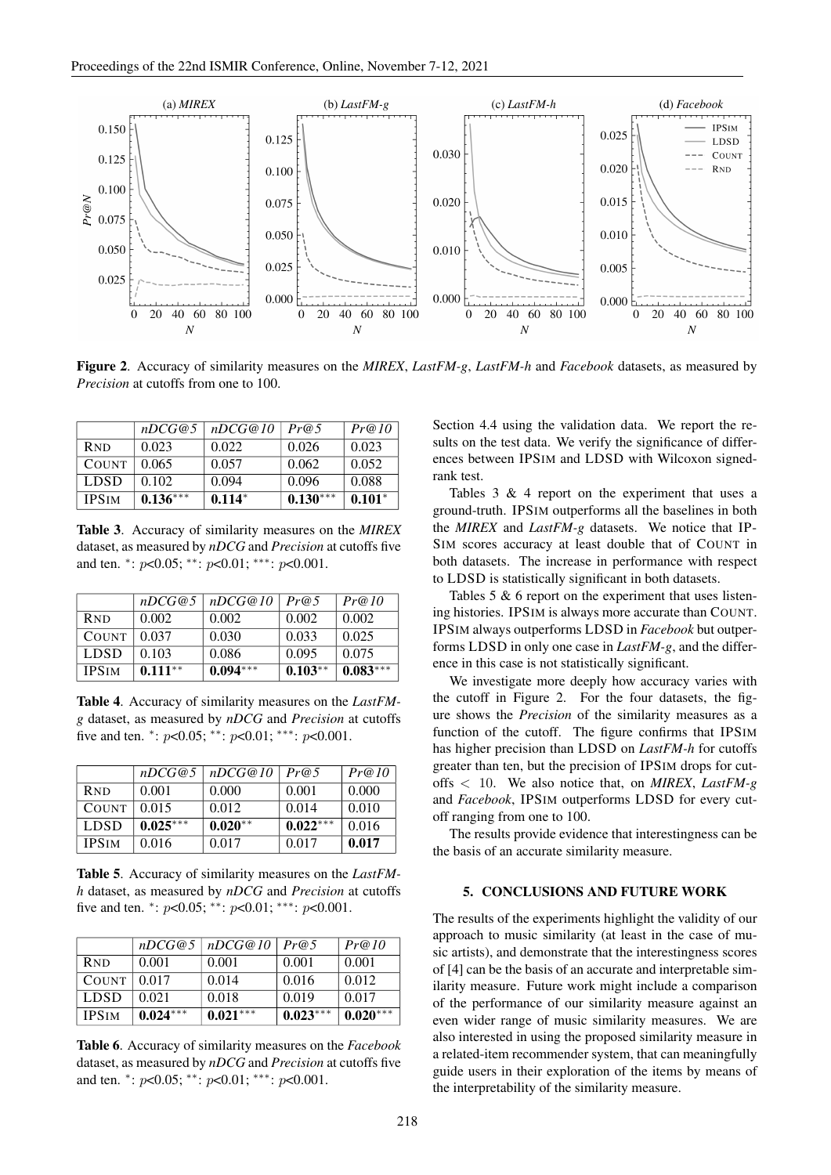

Figure 2. Accuracy of similarity measures on the *MIREX*, *LastFM-g*, *LastFM-h* and *Facebook* datasets, as measured by *Precision* at cutoffs from one to 100.

|              | nDCG@5     | nDCG@10  | Pr@5       | Pr@10    |
|--------------|------------|----------|------------|----------|
| <b>RND</b>   | 0.023      | 0.022    | 0.026      | 0.023    |
| <b>COUNT</b> | 0.065      | 0.057    | 0.062      | 0.052    |
| <b>LDSD</b>  | 0.102      | 0.094    | 0.096      | 0.088    |
| <b>IPSIM</b> | $0.136***$ | $0.114*$ | $0.130***$ | $0.101*$ |

Table 3. Accuracy of similarity measures on the *MIREX* dataset, as measured by *nDCG* and *Precision* at cutoffs five and ten. \*:  $p<0.05$ ; \*\*:  $p<0.01$ ; \*\*\*:  $p<0.001$ .

|              | nDCG@5    | nDCG@10    | Pr@5      | Pr@10      |
|--------------|-----------|------------|-----------|------------|
| <b>RND</b>   | 0.002     | 0.002      | 0.002     | 0.002      |
| <b>COUNT</b> | 0.037     | 0.030      | 0.033     | 0.025      |
| <b>LDSD</b>  | 0.103     | 0.086      | 0.095     | 0.075      |
| <b>IPSIM</b> | $0.111**$ | $0.094***$ | $0.103**$ | $0.083***$ |

Table 4. Accuracy of similarity measures on the *LastFMg* dataset, as measured by *nDCG* and *Precision* at cutoffs five and ten. \*:  $p<0.05$ ; \*\*:  $p<0.01$ ; \*\*\*:  $p<0.001$ .

|                       | nDCG@5     | nDCG@10   | Pr@5       | Pr@10 |
|-----------------------|------------|-----------|------------|-------|
| <b>R<sub>ND</sub></b> | 0.001      | 0.000     | 0.001      | 0.000 |
| <b>COUNT</b>          | 0.015      | 0.012     | 0.014      | 0.010 |
| <b>LDSD</b>           | $0.025***$ | $0.020**$ | $0.022***$ | 0.016 |
| <b>IPSIM</b>          | 0.016      | 0.017     | 0.017      | 0.017 |

Table 5. Accuracy of similarity measures on the *LastFMh* dataset, as measured by *nDCG* and *Precision* at cutoffs five and ten. \*:  $p<0.05$ ; \*\*:  $p<0.01$ ; \*\*\*:  $p<0.001$ .

|                       | nDCG@5     | nDCG@10    | Pr@5       | Pr@10      |
|-----------------------|------------|------------|------------|------------|
| <b>R<sub>ND</sub></b> | 0.001      | 0.001      | 0.001      | 0.001      |
| <b>COUNT</b>          | 0.017      | 0.014      | 0.016      | 0.012      |
| <b>LDSD</b>           | 0.021      | 0.018      | 0.019      | 0.017      |
| <b>IPSIM</b>          | $0.024***$ | $0.021***$ | $0.023***$ | $0.020***$ |

Table 6. Accuracy of similarity measures on the *Facebook* dataset, as measured by *nDCG* and *Precision* at cutoffs five and ten. \*:  $p<0.05$ ; \*\*:  $p<0.01$ ; \*\*\*:  $p<0.001$ .

Section 4.4 using the validation data. We report the results on the test data. We verify the significance of differences between IPSIM and LDSD with Wilcoxon signedrank test.

Tables  $3 \& 4$  report on the experiment that uses a ground-truth. IPSIM outperforms all the baselines in both the *MIREX* and *LastFM-g* datasets. We notice that IP-SIM scores accuracy at least double that of COUNT in both datasets. The increase in performance with respect to LDSD is statistically significant in both datasets.

Tables 5 & 6 report on the experiment that uses listening histories. IPSIM is always more accurate than COUNT. IPSIM always outperforms LDSD in *Facebook* but outperforms LDSD in only one case in *LastFM-g*, and the difference in this case is not statistically significant.

We investigate more deeply how accuracy varies with the cutoff in Figure 2. For the four datasets, the figure shows the *Precision* of the similarity measures as a function of the cutoff. The figure confirms that IPSIM has higher precision than LDSD on *LastFM-h* for cutoffs greater than ten, but the precision of IPSIM drops for cutoffs < 10. We also notice that, on *MIREX*, *LastFM-g* and *Facebook*, IPSIM outperforms LDSD for every cutoff ranging from one to 100.

The results provide evidence that interestingness can be the basis of an accurate similarity measure.

### 5. CONCLUSIONS AND FUTURE WORK

The results of the experiments highlight the validity of our approach to music similarity (at least in the case of music artists), and demonstrate that the interestingness scores of [4] can be the basis of an accurate and interpretable similarity measure. Future work might include a comparison of the performance of our similarity measure against an even wider range of music similarity measures. We are also interested in using the proposed similarity measure in a related-item recommender system, that can meaningfully guide users in their exploration of the items by means of the interpretability of the similarity measure.